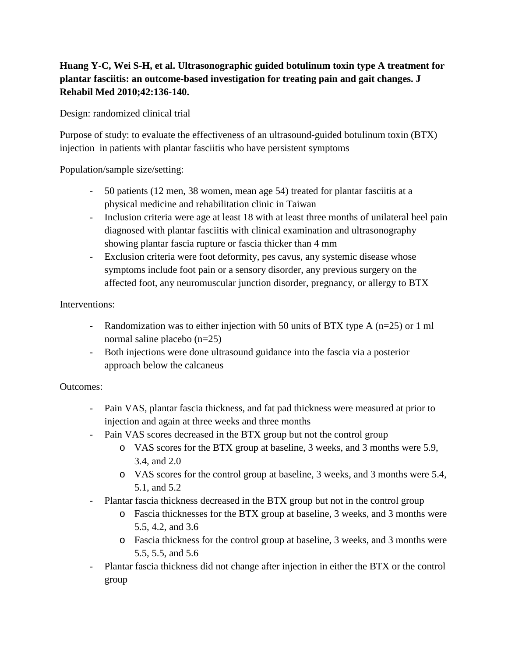## **Huang Y-C, Wei S-H, et al. Ultrasonographic guided botulinum toxin type A treatment for plantar fasciitis: an outcome-based investigation for treating pain and gait changes. J Rehabil Med 2010;42:136-140.**

Design: randomized clinical trial

Purpose of study: to evaluate the effectiveness of an ultrasound-guided botulinum toxin (BTX) injection in patients with plantar fasciitis who have persistent symptoms

Population/sample size/setting:

- 50 patients (12 men, 38 women, mean age 54) treated for plantar fasciitis at a physical medicine and rehabilitation clinic in Taiwan
- Inclusion criteria were age at least 18 with at least three months of unilateral heel pain diagnosed with plantar fasciitis with clinical examination and ultrasonography showing plantar fascia rupture or fascia thicker than 4 mm
- Exclusion criteria were foot deformity, pes cavus, any systemic disease whose symptoms include foot pain or a sensory disorder, any previous surgery on the affected foot, any neuromuscular junction disorder, pregnancy, or allergy to BTX

## Interventions:

- Randomization was to either injection with 50 units of BTX type A (n=25) or 1 ml normal saline placebo (n=25)
- Both injections were done ultrasound guidance into the fascia via a posterior approach below the calcaneus

## Outcomes:

- Pain VAS, plantar fascia thickness, and fat pad thickness were measured at prior to injection and again at three weeks and three months
- Pain VAS scores decreased in the BTX group but not the control group
	- o VAS scores for the BTX group at baseline, 3 weeks, and 3 months were 5.9, 3.4, and 2.0
	- o VAS scores for the control group at baseline, 3 weeks, and 3 months were 5.4, 5.1, and 5.2
- Plantar fascia thickness decreased in the BTX group but not in the control group
	- o Fascia thicknesses for the BTX group at baseline, 3 weeks, and 3 months were 5.5, 4.2, and 3.6
	- o Fascia thickness for the control group at baseline, 3 weeks, and 3 months were 5.5, 5.5, and 5.6
- Plantar fascia thickness did not change after injection in either the BTX or the control group